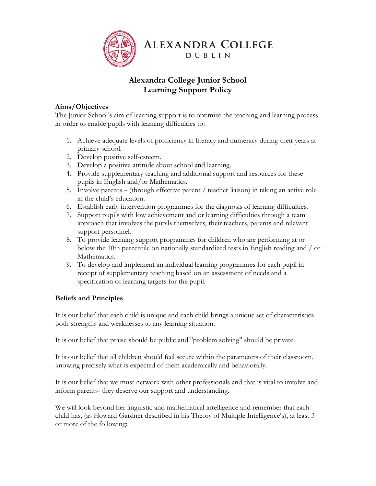

# **Alexandra College Junior School Learning Support Policy**

### **Aims/Objectives**

The Junior School's aim of learning support is to optimize the teaching and learning process in order to enable pupils with learning difficulties to:

- 1. Achieve adequate levels of proficiency in literacy and numeracy during their years at primary school.
- 2. Develop positive self-esteem.
- 3. Develop a positive attitude about school and learning.
- 4. Provide supplementary teaching and additional support and resources for these pupils in English and/or Mathematics.
- 5. Involve parents (through effective parent / teacher liaison) in taking an active role in the child's education.
- 6. Establish early intervention programmes for the diagnosis of learning difficulties.
- 7. Support pupils with low achievement and or learning difficulties through a team approach that involves the pupils themselves, their teachers, parents and relevant support personnel.
- 8. To provide learning support programmes for children who are performing at or below the 10th percentile on nationally standardized tests in English reading and / or Mathematics.
- 9. To develop and implement an individual learning programmes for each pupil in receipt of supplementary teaching based on an assessment of needs and a specification of learning targets for the pupil.

## **Beliefs and Principles**

It is our belief that each child is unique and each child brings a unique set of characteristics both strengths and weaknesses to any learning situation.

It is our belief that praise should be public and "problem solving" should be private.

It is our belief that all children should feel secure within the parameters of their classroom, knowing precisely what is expected of them academically and behaviorally.

It is our belief that we must network with other professionals and that is vital to involve and inform parents- they deserve our support and understanding.

We will look beyond her linguistic and mathematical intelligence and remember that each child has, (as Howard Gardner described in his Theory of Multiple Intelligence's), at least 3 or more of the following: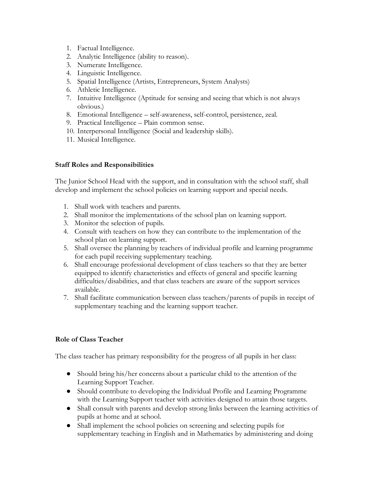- 1. Factual Intelligence.
- 2. Analytic Intelligence (ability to reason).
- 3. Numerate Intelligence.
- 4. Linguistic Intelligence.
- 5. Spatial Intelligence (Artists, Entrepreneurs, System Analysts)
- 6. Athletic Intelligence.
- 7. Intuitive Intelligence (Aptitude for sensing and seeing that which is not always obvious.)
- 8. Emotional Intelligence self-awareness, self-control, persistence, zeal.
- 9. Practical Intelligence Plain common sense.
- 10. Interpersonal Intelligence (Social and leadership skills).
- 11. Musical Intelligence.

#### **Staff Roles and Responsibilities**

The Junior School Head with the support, and in consultation with the school staff, shall develop and implement the school policies on learning support and special needs.

- 1. Shall work with teachers and parents.
- 2. Shall monitor the implementations of the school plan on learning support.
- 3. Monitor the selection of pupils.
- 4. Consult with teachers on how they can contribute to the implementation of the school plan on learning support.
- 5. Shall oversee the planning by teachers of individual profile and learning programme for each pupil receiving supplementary teaching.
- 6. Shall encourage professional development of class teachers so that they are better equipped to identify characteristics and effects of general and specific learning difficulties/disabilities, and that class teachers are aware of the support services available.
- 7. Shall facilitate communication between class teachers/parents of pupils in receipt of supplementary teaching and the learning support teacher.

### **Role of Class Teacher**

The class teacher has primary responsibility for the progress of all pupils in her class:

- Should bring his/her concerns about a particular child to the attention of the Learning Support Teacher.
- Should contribute to developing the Individual Profile and Learning Programme with the Learning Support teacher with activities designed to attain those targets.
- Shall consult with parents and develop strong links between the learning activities of pupils at home and at school.
- Shall implement the school policies on screening and selecting pupils for supplementary teaching in English and in Mathematics by administering and doing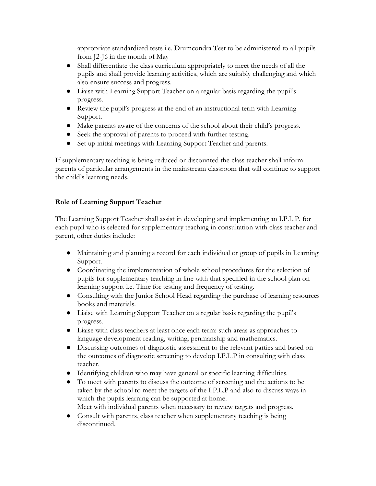appropriate standardized tests i.e. Drumcondra Test to be administered to all pupils from J2-J6 in the month of May

- Shall differentiate the class curriculum appropriately to meet the needs of all the pupils and shall provide learning activities, which are suitably challenging and which also ensure success and progress.
- Liaise with Learning Support Teacher on a regular basis regarding the pupil's progress.
- Review the pupil's progress at the end of an instructional term with Learning Support.
- Make parents aware of the concerns of the school about their child's progress.
- Seek the approval of parents to proceed with further testing.
- Set up initial meetings with Learning Support Teacher and parents.

If supplementary teaching is being reduced or discounted the class teacher shall inform parents of particular arrangements in the mainstream classroom that will continue to support the child's learning needs.

### **Role of Learning Support Teacher**

The Learning Support Teacher shall assist in developing and implementing an I.P.L.P. for each pupil who is selected for supplementary teaching in consultation with class teacher and parent, other duties include:

- Maintaining and planning a record for each individual or group of pupils in Learning Support.
- Coordinating the implementation of whole school procedures for the selection of pupils for supplementary teaching in line with that specified in the school plan on learning support i.e. Time for testing and frequency of testing.
- Consulting with the Junior School Head regarding the purchase of learning resources books and materials.
- Liaise with Learning Support Teacher on a regular basis regarding the pupil's progress.
- Liaise with class teachers at least once each term: such areas as approaches to language development reading, writing, penmanship and mathematics.
- Discussing outcomes of diagnostic assessment to the relevant parties and based on the outcomes of diagnostic screening to develop I.P.L.P in consulting with class teacher.
- Identifying children who may have general or specific learning difficulties.
- To meet with parents to discuss the outcome of screening and the actions to be taken by the school to meet the targets of the I.P.L.P and also to discuss ways in which the pupils learning can be supported at home. Meet with individual parents when necessary to review targets and progress.
- Consult with parents, class teacher when supplementary teaching is being discontinued.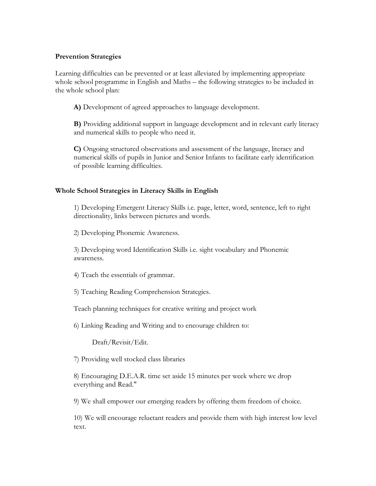#### **Prevention Strategies**

Learning difficulties can be prevented or at least alleviated by implementing appropriate whole school programme in English and Maths – the following strategies to be included in the whole school plan:

**A)** Development of agreed approaches to language development.

**B)** Providing additional support in language development and in relevant early literacy and numerical skills to people who need it.

**C)** Ongoing structured observations and assessment of the language, literacy and numerical skills of pupils in Junior and Senior Infants to facilitate early identification of possible learning difficulties.

#### **Whole School Strategies in Literacy Skills in English**

1) Developing Emergent Literacy Skills i.e. page, letter, word, sentence, left to right directionality, links between pictures and words.

2) Developing Phonemic Awareness.

3) Developing word Identification Skills i.e. sight vocabulary and Phonemic awareness.

4) Teach the essentials of grammar.

5) Teaching Reading Comprehension Strategies.

Teach planning techniques for creative writing and project work

6) Linking Reading and Writing and to encourage children to:

Draft/Revisit/Edit.

7) Providing well stocked class libraries

8) Encouraging D.E.A.R. time set aside 15 minutes per week where we drop everything and Read."

9) We shall empower our emerging readers by offering them freedom of choice.

10) We will encourage reluctant readers and provide them with high interest low level text.